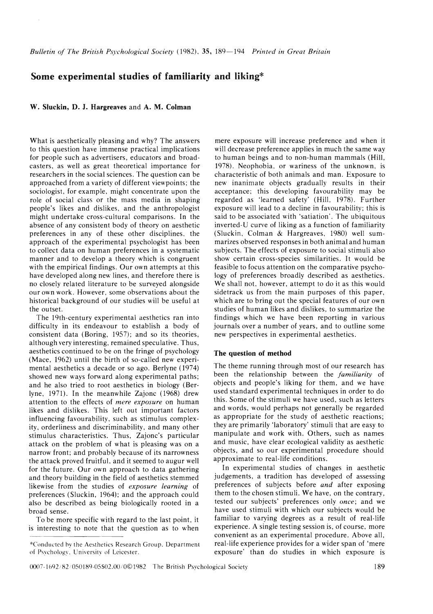## **Some experimental studies of familiarity and liking\***

**W. Sluckin, D. J. Hargreaves** and **A. M. Colman** 

What is aesthetically pleasing and why? The answers to this question have immense practical implications for people such as advertisers, educators and broadcasters, as well as great theoretical importance for researchers in the social sciences. The question can be approached from a variety of different viewpoints; the sociologist, for example, might concentrate upon the role of social class or the mass media in shaping people's likes and dislikes, and the anthropologist might undertake cross-cultural comparisons. In the absence of any consistent body of theory on aesthetic preferences in any of these other disciplines. the approach of the experimental psychologist has been to collect data on human preferences in a systematic manner and to develop a theory which is congruent with the empirical findings. Our own attempts at this have developed along new lines, and therefore there is no closely related literature to be surveyed alongside our own work. However, some observations about the historical background of our studies will be useful at the outset.

The 19th-century experimental aesthetics ran into difficulty in its endeavour to establish a body of consistent data (Boring. 1957); and so its theories, although very interesting. remained speculative. Thus, aesthetics continued to be on the fringe of psychology (Mace, 1962) until the birth of so-called new experimental aesthetics a decade or so ago. Berlyne (1974) showed new ways forward along experimental paths; and he also tried to root aesthetics in biology (Ber-Iyne, 1971). In the meanwhile Zajonc (1968) drew attention to the effects of *mere exposure* on human likes and dislikes. This left out important factors influencing favourability, such as stimulus complexity, orderliness and discriminability. and many other stimulus characteristics. Thus, Zajonc's particular attack on the problem of what is pleasing was on a narrow front; and probably because of its narrowness the attack proved fruitful. and it seemed to augur well for the future. Our own approach to data gathering and theory building in the field of aesthetics stemmed likewise from the studies of *exposure learning* of preferences (Sluckin. 1964); and the approach could also be described as being biologically rooted in a broad sense.

To be more specific with regard to the last point. it is interesting to note that the question as to when

mere exposure will increase preference and when it will decrease preference applies in much the same way to human beings and to non-human mammals (Hill, 1978). Neophobia, or wariness of the unknown, is characteristic of both animals and man. Exposure to new inanimate objects gradually results in their acceptance; this developing favourability may be regarded as 'learned safety' (Hill, 1978). Further exposure will lead to a decline in favourability; this is said to be associated with 'satiation'. The ubiquitous inverted-U curve of liking as a function of familiarity (Sluckin. Colman & Hargreaves. 1980) well summarizes observed responses in both animal and human subjects. The effects of exposure to social stimuli also show certain cross-species similarities. It would be feasible to focus attention on the comparative psychology of preferences broadly described as aesthetics. We shall not, however, attempt to do it as this would sidetrack us from the main purposes of this paper, which are to bring out the special features of our own studies of human likes and dislikes, to summarize the findings which we have been reporting in various journals over a number of years, and to outline some new perspectives in experimental aesthetics.

### **The question of method**

The theme running through most of our research has been the relationship between the *familiarity* of objects and people's liking for them, and we have used standard experimental techniques in order to do this. Some of the stimuli we have used, such as letters and words, would perhaps not generally be regarded as appropriate for the study of aesthetic reactions; they are primarily 'laboratory' stimuli that are easy to manipulate and work with. Others, such as names and music, have clear ecological validity as aesthetic objects. and so our experimental procedure should approximate to real-life conditions.

In experimental studies of changes in aesthetic judgements. a tradition has developed of assessing preferences of subjects before *and* after exposing them to the chosen stimuli. We have, on the contrary, tested our subjects' preferences only *once ;* and we have used stimuli with which our subjects would be familiar to varying degrees as a result of real-life experience. A single testing session is, of course. more convenient as an experimental procedure. Above all, real-life experience provides for a wider span of 'mere exposure' than do studies in which exposure is

<sup>\*</sup>Col1ductcd hv the Aesthdics Research Group. Department of Psychologv. University of Leicester.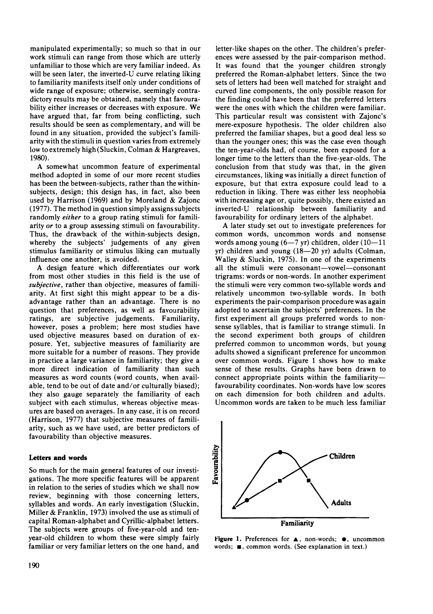manipulated experimentally; so much so that in our work stimuli can range from those which are utterly unfamiliar to those which are very familiar indeed. As will be seen later, the inverted-U curve relating liking to familiarity manifests itself only under conditions of wide range of exposure; otherwise, seemingly contradictory results may be obtained, namely that favourability either increases or decreases with exposure. We have argued that, far from being conflicting, such results should be seen as complementary, and will be found in any situation, provided the subject's familiarity with the stimuli in question varies from extremely low to extremely high (Sluckin, Colman & Hargreaves, 1980).

A somewhat uncommon feature of experimental method adopted in some of our more recent studies has been the between-subjects, rather than the withinsubjects, design; this design has, in fact, also been used by Harrison (1969) and by Moreland & Zajonc (1977). The method in question simply assigns subjects randomly *either* to a group rating stimuli for familiarity *or* to a group assessing stimuli on favourability. Thus, the drawback of the within-subjects design, whereby the subjects' judgements of any given stimulus familiarity or stimulus liking can mutually influence one another, is avoided.

A design feature which differentiates our work from most other studies in this field is the use of *subjective,* rather than objective, measures of familiarity. At first sight this might appear to be a disadvantage rather than an advantage. There is no question that preferences, as well as favourability ratings, are subjective judgements. Familiarity, however, poses a problem; here most studies have used objective measures based on duration of exposure. Yet, subjective measures of familiarity are more suitable for a number of reasons. They provide in practice a large variance in familiarity; they give a more direct indication of familiarity than such measures as word counts (word counts, when available, tend to be out of date and/or culturally biased); they also gauge separately the familiarity of each subject with each stimulus, whereas objective measures are based on averages. In any case, it is on record (Harrison, 1977) that subjective measures of familiarity, such as we have used, are better predictors of favourability than objective measures.

## Letters and words

So much for the main general features of our investigations. The more specific features will be apparent in relation to the series of studies which we shall now review, beginning with those concerning letters, syllables and words. An early investigation (Sluckin, Miller & Franklin, 1973) involved the use as stimuli of capital Roman-alphabet and Cyrillic-alphabet letters. The subjects were groups of five-year-old and tenyear-old children to whom these were simply fairly familiar or very familiar letters on the one hand, and

letter-like shapes on the other. The children's preferences were assessed by the pair-comparison method. It was found that the younger children strongly preferred the Roman-alphabet letters. Since the two sets of letters had been well matched for straight and curved line components, the only possible reason for the finding could have been that the preferred letters were the ones with which the children were familiar. This particular result was consistent with Zajonc's mere-exposure hypothesis. The older children also preferred the familiar shapes, but a good deal less so than the younger ones; this was the case even though the ten-year-olds had, of course, been exposed for a longer time to the letters than the five-year-olds. The conclusion from that study was that, in the given circumstances, liking was initially a direct function of exposure, but that extra exposure could lead to a reduction in liking. There was either less neophobia with increasing age or, quite possibly, there existed an inverted-U relationship between familiarity and favourability for ordinary letters of the alphabet.

A later study set out to investigate preferences for common words, uncommon words and nonsense words among young  $(6-7 \text{ yr})$  children, older  $(10-11)$  $yr)$  children and young  $(18-20 \text{ yr})$  adults (Colman, Walley & Sluckin, 1975). In one of the experiments all the stimuli were consonant-vowel-consonant trigrams: words or non-words. In another experiment the stimuli were very common two-syllable words and relatively uncommon two-syllable words. In both experiments the pair-comparison procedure was again adopted to ascertain the subjects' preferences. In the first experiment all groups preferred words to nonsense syllables, that is familiar to strange stimuli. In the second experiment both groups of children preferred common to uncommon words, but young adults showed a significant preference for uncommon over common words. Figure 1 shows how to make sense of these results. Graphs have been drawn to connect appropriate points within the familiarityfavourability coordinates. Non-words have low scores on each dimension for both children and adults. Uncommon words are taken to be much less familiar



**Figure 1.** Preferences for  $\triangle$ , non-words;  $\bullet$ , uncommon words;  $\blacksquare$ , common words. (See explanation in text.)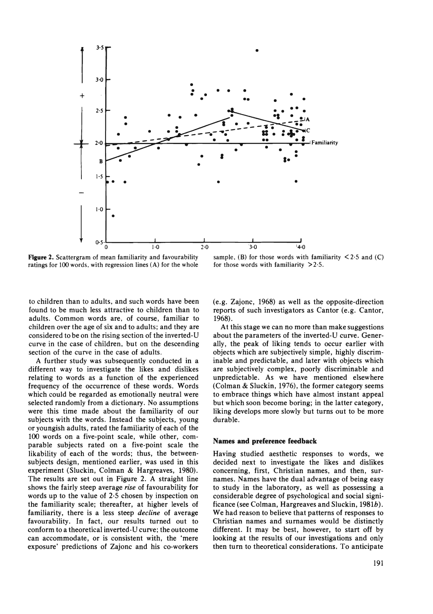

Figure 2. Scattergram of mean familiarity and favourability ratings for 100 words. with regression lines (A) for the whole

sample. (B) for those words with familiarity  $\leq$  2.5 and (C) for those words with familiarity  $>2.5$ .

to children than to adults, and such words have been found to be much less attractive to children than to adults. Common words are, of course, familiar to children over the age of six and to adults; and they are considered to be on the rising section of the inverted-U curve in the case of children, but on the descending section of the curve in the case of adults.

A further study was subsequently conducted in a different way to investigate the likes and dislikes relating to words as a function of the experienced frequency of the occurrence of these words. Words which could be regarded as emotionally neutral were selected randomly from a dictionary. No assumptions were this time made about the familiarity of our subjects with the words. Instead the subjects, young or youngish adults, rated the familiarity of each of the 100 words on a five-point scale, while other, comparable subjects rated on a five-point scale the likability of each of the words; thus, the betweensubjects design, mentioned earlier, was used in this experiment (Sluckin, Colman & Hargreaves, 1980). The results are set out in Figure 2. A straight line shows the fairly steep average *rise* of favourability for words up to the value of 2·5 chosen by inspection on the familiarity scale; thereafter, at higher levels of familiarity, there is a less steep *decline* of average favourability. In fact, our results turned out to conform to a theoretical inverted-U curve; the outcome can accommodate, or is consistent with, the 'mere exposure' predictions of Zajonc and his co-workers

(e.g. Zajonc, 1968) as well as the opposite-direction reports of such investigators as Cantor (e.g. Cantor, 1968).

At this stage we can no more than make suggestions about the parameters of the inverted-U curve. Generally, the peak of liking tends to occur earlier with objects which are subjectively simple, highly discriminable and predictable, and later with objects which are subjectively complex, poorly discriminable and unpredictable. As we have mentioned elsewhere (Colman & Sluckin, 1976), the former category seems to embrace things which have almost instant appeal but which soon become boring; in the latter category, liking develops more slowly but turns out to be more durable.

## Names and preference feedback

Having studied aesthetic responses to words, we decided next to investigate the likes and dislikes concerning, first, Christian names, and then, surnames. Names have the dual advantage of being easy to study in the laboratory, as well as possessing a considerable degree of psychological and social significance (see Coiman, Hargreaves and Sluckin, 1981b). We had reason to believe that patterns of responses to Christian names and surnames would be distinctly different. It may be best, however, to start off by looking at the results of our investigations and only then turn to theoretical considerations. To anticipate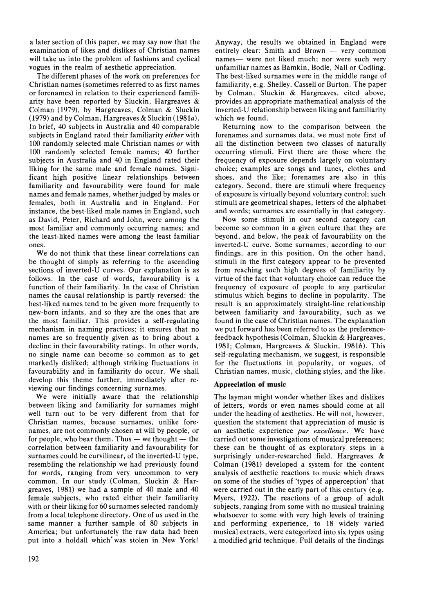a later section of this paper, we may say now that the examination of likes and dislikes of Christian names will take us into the problem of fashions and cyclical vogues in the realm of aesthetic appreciation.

The different phases of the work on preferences for Christian names (sometimes referred to as first names or forenames) in relation to their experienced familiarity have been reported by Sluckin, Hargreaves & Colman (1979), by Hargreaves, Colman & Sluckin (1979) and by Colman, Hargreaves & Sluckin (1981a). In brief, 40 subjects in Australia and 40 comparable subjects in England rated their familiarity *either* with 100 randomly selected male Christian names or with 100 randomly selected female names; 40 further subjects in Australia and 40 in England rated their liking for the same male and female names. Significant high positive linear relationships between familiarity and favourability were found for male names and female names, whether judged by males or females, both in Australia and in England. For instance, the best-liked male names in England, such as David, Peter, Richard and John, were among the most familiar and commonly occurring names; and the least-liked names were among the least familiar ones.

We do not think that these linear correlations can be thought of simply as referring to the ascending sections of inverted-U curves. Our explanation is as follows. In the case of words, favourability is a function of their familiarity. In the case of Christian names the causal relationship is partly reversed: the best-liked names tend to be given more frequently to new-born infants, and so they are the ones that are the most familiar. This provides a self-regulating mechanism in naming practices; it ensures that no names are so frequently given as to bring about a decline in their favourability ratings. In other words, no single name can become so common as to get markedly disliked; although striking fluctuations in favourability and in familiarity do occur. We shall develop this theme further, immediately after reviewing our findings concerning surnames.

We were initially aware that the relationship between liking and familiarity for surnames might well turn out to be very different from that for Christian names, because surnames, unlike forenames, are not commonly chosen at will by people, or for people, who bear them. Thus  $-$  we thought  $-$  the correlation between familiarity and favourability for surnames could be curvilinear, of the inverted-U type, resembling the relationship we had previously found for words, ranging from very uncommon to very common. In our study (Colman, Sluckin & Hargreaves, 1981) we had a sample of 40 male and 40 female subjects, who rated either their familiarity with or their liking for 60 surnames selected randomly from a local telephone directory. One of us used in the same manner a further sample of 80 subjects in America; but unfortunately the raw data had been put into a holdall which' was stolen in New York!

Anyway, the results we obtained in England were entirely clear: Smith and Brown  $-$  very common names- were not liked much; nor were such very unfamiliar names as Bamkin, Bodle, Nail or Codling. The best-liked surnames were in the middle range of familiarity, e.g. Shelley, Cassell or Burton. The paper by Colman, Sluckin & Hargreaves, cited above, provides an appropriate mathematical analysis of the inverted-U relationship between liking and familiarity which we found.

Returning now to the comparison between the forenames and surnames data, we must note first of all the distinction between two classes of naturally occurring stimuli. First there are those where the frequency of exposure depends largely on voluntary choice; examples are songs and tunes, clothes and shoes, and the like; forenames are also in this category. Second, there are stimuli where frequency of exposure is virtually beyond voluntary control; such stimuli are geometrical shapes, letters of the alphabet and words; surnames are essentially in that category.

Now some stimuli in our second category can become so common in a given culture that they are beyond, and below, the peak of favourability on the inverted-U curve. Some surnames, according to our findings, are in this position. On the other hand, stimuli in the first category appear to be prevented from reaching such high degrees of familiarity by virtue of the fact that voluntary choice can reduce the frequency of exposure of people to any particular stimulus which begins to decline in popularity. The result is an approximately straight-line relationship between familiarity and favourability, such as we found in the case of Christian names. The explanation we put forward has been referred to as the preferencefeedback hypothesis (Colman, Sluckin & Hargreaves, 1981; Colman, Hargreaves & Sluckin, 1981b). This self-regulating mechanism, we suggest, is responsible for the fluctuations in popularity, or vogues, of Christian names, music, clothing styles, and the like.

## **Appreciation of music**

The layman might wonder whether likes and dislikes of letters, words or even names should come at all under the heading of aesthetics. He will not, however, question the statement that appreciation of music is an aesthetic experience *par excellence.* We have carried out some investigations of musical preferences; these can be thought of as exploratory steps in a surprisingly under-researched field. Hargreaves & Colman (1981) developed a system for the content analysis of aesthetic reactions to music which draws on some of the studies of 'types of apperception' that were carried out in the early part of this century (e.g. Myers, 1922). The reactions of a group of adult subjects, ranging from some with no musical training whatsoever to some with very high levels of training and performing experience, to 18 widely varied musical extracts, were categorized into six types using a modified grid technique. Full details of the findings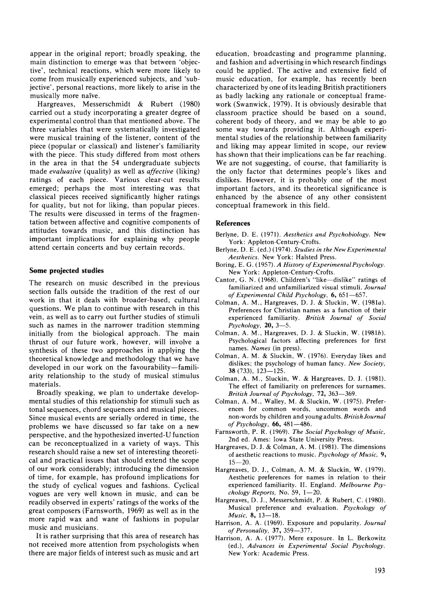appear in the original report; broadly speaking, the main distinction to emerge was that between 'objective', technical reactions, which were more likely to come from musically experienced subjects, and 'subjective', personal reactions, more likely to arise in the musically more naive.

Hargreaves, Messerschmidt & Rubert (1980) carried out a study incorporating a greater degree of experimental control than that mentioned above. The three variables that were systematically investigated were musical training of the listener, content of the piece (popular or classical) and listener's familiarity with the piece. This study differed from most others in the area in that the S4 undergraduate subjects made *evaluative* (quality) as well as *affective* (liking) ratings of each piece. Various clear-cut results emerged; perhaps the most interesting was that classical pieces received significantly higher ratings for quality, but not for liking, than popular pieces. The results were discussed in terms of the fragmentation between affective and cognitive components of attitudes towards music, and this distinction has important implications for explaining why people attend certain concerts and buy certain records.

## **Some projected studies**

The research on music described in the previous section falls outside the tradition of the rest of our work in that it deals with broader-based, cultural questions. We plan to continue with research in this vein, as well as to carry out further studies of stimuli such as names in the narrower tradition stemming initially from the biological approach. The main thrust of our future work, however, will involve a synthesis of these two approaches in applying the theoretical knowledge and methodology that we have developed in our work on the favourability-familiarity relationship to the study of musical stimulus materials.

Broadly speaking, we plan to undertake developmental studies of this relationship for stimuli such as tonal sequences, chord sequences and musical pieces. Since musical events are serially ordered in time, the problems we have discussed so far take on a new perspective, and the hypothesized inverted-U function can be reconceptualized in a variety of ways. This research should raise a new set of interesting theoretical and practical issues that should extend the scope of our work considerably; introducing the dimension of time, for example, has profound implications for the study of cyclical vogues and fashions. Cyclical vogues are very well known in music, and can be readily observed in experts' ratings of the works of the great composers (Farnsworth, 1969) as well as in the more rapid wax and wane of fashions in popular music and musicians.

It is rather surprising that this area of research has not received more attention from psychologists when there are major fields of interest such as music and art education, broadcasting and programme planning, and fashion and advertising in which research findings could be applied. The active and extensive field of music education, for example, has recently been characterized by one of its leading British practitioners as badly lacking any rationale or conceptual framework (Swanwick, 1979). It is obviously desirable that classroom practice should be based on a sound, coherent body of theory, and we may be able to go some way towards providing it. Although experimental studies of the relationship between familiarity and liking may appear limited in scope, our review has shown that their implications can be far reaching. We are not suggesting, of course, that familiarity is the only factor that determines people's likes and dislikes. However, it is probably one of the most important factors, and its theoretical significance is enhanced by the absence of any other consistent conceptual framework in this field.

### **References**

- Berlyne, D. E. (1971). *Aesthetics and Psychobiology.* New York: Appleton-Century-Crofts.
- Berlyne, D. E. (ed.) (1974). *Studies in the New Experimental*  Aesthetics. New York: Halsted Press.
- Boring, E. G. (1957). *A History of Experimental Psychology.*  New York: Appleton-Century-Crofts.
- Cantor, G. N. (1968). Children's "like-dislike" ratings of familiarized and unfamiliarized visual stimuli. *Journal of Experimental Child Psychology,* 6,651-657.
- Colman, A. M., Hargreaves, D. J. & Sluckin, W. (1981a). Preferences for Christian names as a function of their experienced familiarity. *British Journal of Social Psychology,* 20, 3-5.
- Colman, A. M., Hargreaves, D. J. & Sluckin, W. (1981b). Psychological factors affecting preferences for first names. *Names* (in press).
- Colman, A. M. & Sluckin, W. (1976). Everyday likes and dislikes; the psychology of human fancy. *New Society,*  38 (733), 123-125.
- Colman, A. M., Sluckin, W. & Hargreaves, D. J. (1981). The effect of familiarity on preferences for surnames. *British Journal of Psychology,* 72, 363-369.
- Colman, A. M., Walley, M. & Sluckin, W. (1975). Prefer· ences for common words, uncommon words and non-words by children and young adults. *BritishJournal of Psychology,* 66,481-486.
- Farnsworth, P. R. (1969). *The Social Psychology of Music,*  2nd ed. Ames: Iowa State University Press.
- Hargreaves, D. J. & Colman, A. M. (1981). The dimensions of aesthetic reactions to music. *Psychology of Music, 9,*   $15 - 20$ .
- Hargreaves, D. J., Co1man, A. M. & Sluckin, W. (1979). Aesthetic preferences for names in relation to their experienced familiarity. H. England. *Melbourne Psychology Reports, No. 59, 1-20.*
- Hargreaves, D. 1., Messerschmidt, P. & Rubert, C. (1980). Musical preference and evaluation. *Psychology of Music*, 8, 13-18.
- Harrison, A. A. (1969). Exposure and popularity. *Journal of Personality,* 37, 359-377.
- Harrison, A. A. (1977). Mere exposure. In L. Berkowitz (ed.), *Advances in Experimental Social Psychology.*  New York: Academic Press.